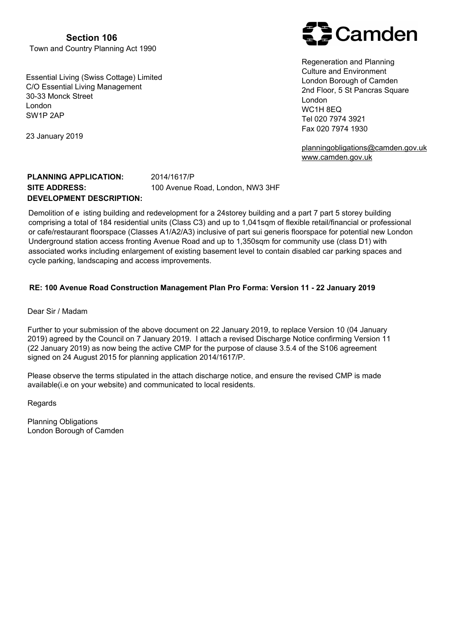**Section 106**  Town and Country Planning Act 1990

Essential Living (Swiss Cottage) Limited C/O Essential Living Management 30-33 Monck Street London SW1P 2AP

23 January 2019

# **Camden**

Regeneration and Planning Culture and Environment London Borough of Camden 2nd Floor, 5 St Pancras Square London WC1H 8EQ Tel 020 7974 3921 Fax 020 7974 1930

[planningobligations@camden.gov.uk](mailto:planningobligations@camden.gov.uk) [www.camden.gov.uk](www.camden.gov.uk/cil)

## **PLANNING APPLICATION:** 2014/1617/P **SITE ADDRESS:** 100 Avenue Road, London, NW3 3HF **DEVELOPMENT DESCRIPTION:**

Demolition of e isting building and redevelopment for a 24storey building and a part 7 part 5 storey building comprising a total of 184 residential units (Class C3) and up to 1,041sqm of flexible retail/financial or professional or cafe/restaurant floorspace (Classes A1/A2/A3) inclusive of part sui generis floorspace for potential new London Underground station access fronting Avenue Road and up to 1,350sqm for community use (class D1) with associated works including enlargement of existing basement level to contain disabled car parking spaces and cycle parking, landscaping and access improvements.

### **RE: 100 Avenue Road Construction Management Plan Pro Forma: Version 11 - 22 January 2019**

Dear Sir / Madam

Further to your submission of the above document on 22 January 2019, to replace Version 10 (04 January 2019) agreed by the Council on 7 January 2019. I attach a revised Discharge Notice confirming Version 11 (22 January 2019) as now being the active CMP for the purpose of clause 3.5.4 of the S106 agreement signed on 24 August 2015 for planning application 2014/1617/P.

Please observe the terms stipulated in the attach discharge notice, and ensure the revised CMP is made available(i.e on your website) and communicated to local residents.

Regards

Planning Obligations London Borough of Camden